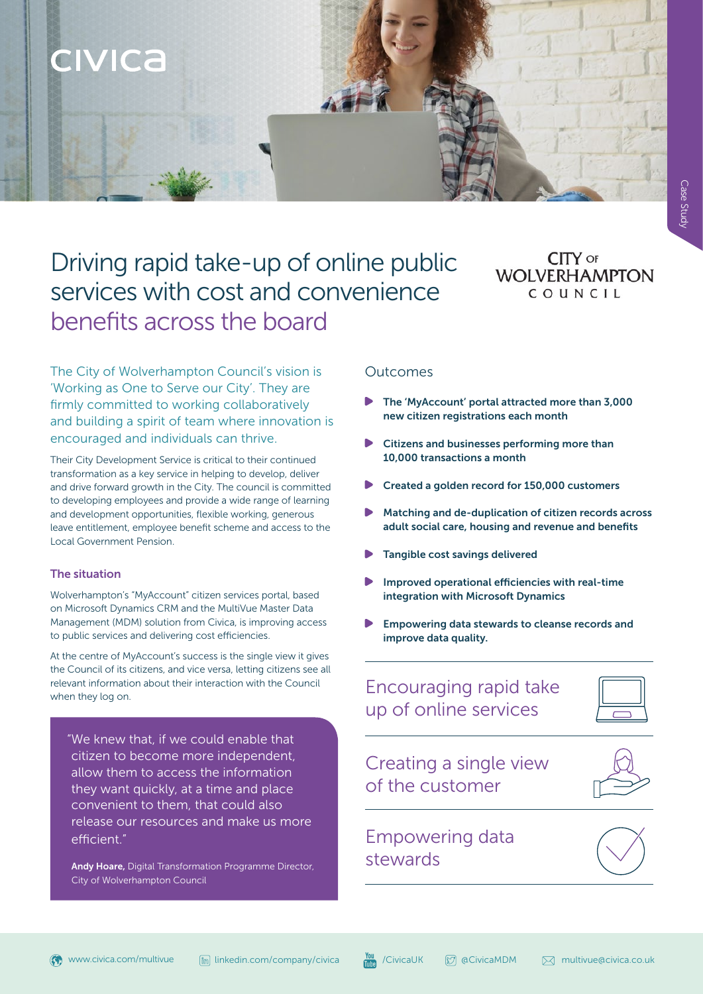

# Driving rapid take-up of online public services with cost and convenience benefits across the board

### CITY OF **WOLVERHAMPTON** COUNCIL

The City of Wolverhampton Council's vision is 'Working as One to Serve our City'. They are firmly committed to working collaboratively and building a spirit of team where innovation is encouraged and individuals can thrive.

Their City Development Service is critical to their continued transformation as a key service in helping to develop, deliver and drive forward growth in the City. The council is committed to developing employees and provide a wide range of learning and development opportunities, flexible working, generous leave entitlement, employee benefit scheme and access to the Local Government Pension.

### The situation

Wolverhampton's "MyAccount" citizen services portal, based on Microsoft Dynamics CRM and the MultiVue Master Data Management (MDM) solution from Civica, is improving access to public services and delivering cost efficiencies.

At the centre of MyAccount's success is the single view it gives the Council of its citizens, and vice versa, letting citizens see all relevant information about their interaction with the Council when they log on.

"We knew that, if we could enable that citizen to become more independent, allow them to access the information they want quickly, at a time and place convenient to them, that could also release our resources and make us more efficient."

Andy Hoare, Digital Transformation Programme Director, City of Wolverhampton Council

### Outcomes

- The 'MyAccount' portal attracted more than 3,000 new citizen registrations each month
- Citizens and businesses performing more than 10,000 transactions a month
- Created a golden record for 150,000 customers
- Matching and de-duplication of citizen records across adult social care, housing and revenue and benefits
- Tangible cost savings delivered
- Improved operational efficiencies with real-time integration with Microsoft Dynamics
- Empowering data stewards to cleanse records and improve data quality.

### Encouraging rapid take up of online services

Creating a single view of the customer



## Empowering data stewards